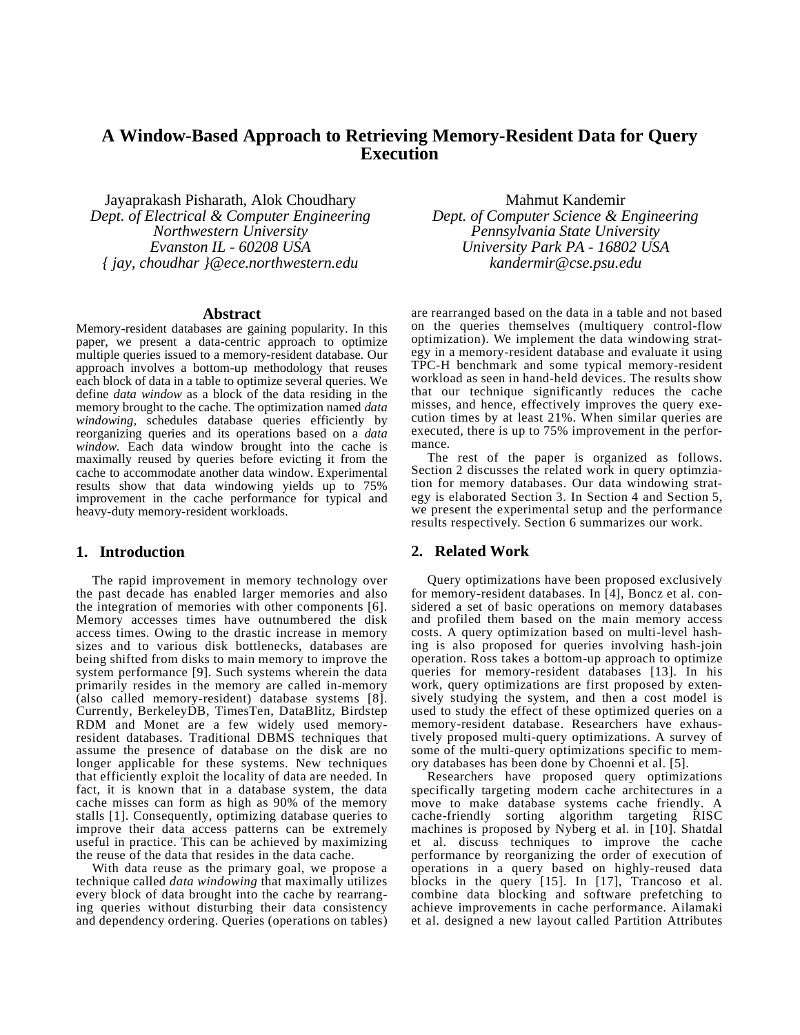# **A Window-Based Approach to Retrieving Memory-Resident Data for Query Execution**

Jayaprakash Pisharath, Alok Choudhary *Dept. of Electrical & Computer Engineering Northwestern University Evanston IL - 60208 USA { jay, choudhar }@ece.northwestern.edu*

#### **Abstract**

Memory-resident databases are gaining popularity. In this paper, we present a data-centric approach to optimize multiple queries issued to a memory-resident database. Our approach involves a bottom-up methodology that reuses each block of data in a table to optimize several queries. We define *data window* as a block of the data residing in the memory brought to the cache. The optimization named *data windowing,* schedules database queries efficiently by reorganizing queries and its operations based on a *data window.* Each data window brought into the cache is maximally reused by queries before evicting it from the cache to accommodate another data window. Experimental results show that data windowing yields up to 75% improvement in the cache performance for typical and heavy-duty memory-resident workloads.

### **1. Introduction**

The rapid improvement in memory technology over the past decade has enabled larger memories and also the integration of memories with other components [6]. Memory accesses times have outnumbered the disk access times. Owing to the drastic increase in memory sizes and to various disk bottlenecks, databases are being shifted from disks to main memory to improve the system performance [\[9\].](#page-5-1) Such systems wherein the data primarily resides in the memory are called in-memory (also called memory-resident) database systems [\[8\]](#page-5-2). Currently, BerkeleyDB, TimesTen, DataBlitz, Birdstep RDM and Monet are a few widely used memoryresident databases. Traditional DBMS techniques that assume the presence of database on the disk are no longer applicable for these systems. New techniques that efficiently exploit the locality of data are needed. In fact, it is known that in a database system, the data cache misses can form as high as 90% of the memory stalls [\[1\]](#page-5-5). Consequently, optimizing database queries to improve their data access patterns can be extremely useful in practice. This can be achieved by maximizing the reuse of the data that resides in the data cache.

With data reuse as the primary goal, we propose a technique called *data windowing* that maximally utilizes every block of data brought into the cache by rearranging queries without disturbing their data consistency and dependency ordering. Queries (operations on tables)

Mahmut Kandemir *Dept. of Computer Science & Engineering Pennsylvania State University University Park PA - 16802 USA kandermir@cse.psu.edu*

are rearranged based on the data in a table and not based on the queries themselves (multiquery control-flow optimization). We implement the data windowing strategy in a memory-resident database and evaluate it using TPC-H benchmark and some typical memory-resident workload as seen in hand-held devices. The results show that our technique significantly reduces the cache misses, and hence, effectively improves the query execution times by at least 21%. When similar queries are executed, there is up to 75% improvement in the performance.

The rest of the paper is organized as follows. [Section 2](#page-0-0) discusses the related work in query optimziation for memory databases. Our data windowing strategy is elaborated [Section 3](#page-1-0). In [Section 4](#page-2-0) and [Section 5,](#page-4-0) we present the experimental setup and the performance results respectively. [Section 6](#page-5-0) summarizes our work.

### <span id="page-0-0"></span>**2. Related Work**

Query optimizations have been proposed exclusively for memory-resident databases. In [4], Boncz et al. considered a set of basic operations on memory databases and profiled them based on the main memory access costs. A query optimization based on multi-level hashing is also proposed for queries involving hash-join operation. Ross takes a bottom-up approach to optimize queries for memory-resident databases [\[13\].](#page-5-3) In his work, query optimizations are first proposed by extensively studying the system, and then a cost model is used to study the effect of these optimized queries on a memory-resident database. Researchers have exhaustively proposed multi-query optimizations. A survey of some of the multi-query optimizations specific to memory databases has been done by Choenni et al. [5].

Researchers have proposed query optimizations specifically targeting modern cache architectures in a move to make database systems cache friendly. A cache-friendly sorting algorithm targeting RISC machines is proposed by Nyberg et al. in [10]. Shatdal et al. discuss techniques to improve the cache performance by reorganizing the order of execution of operations in a query based on highly-reused data blocks in the query [\[15\]](#page-5-4). In [17], Trancoso et al. combine data blocking and software prefetching to achieve improvements in cache performance. Ailamaki et al. designed a new layout called Partition Attributes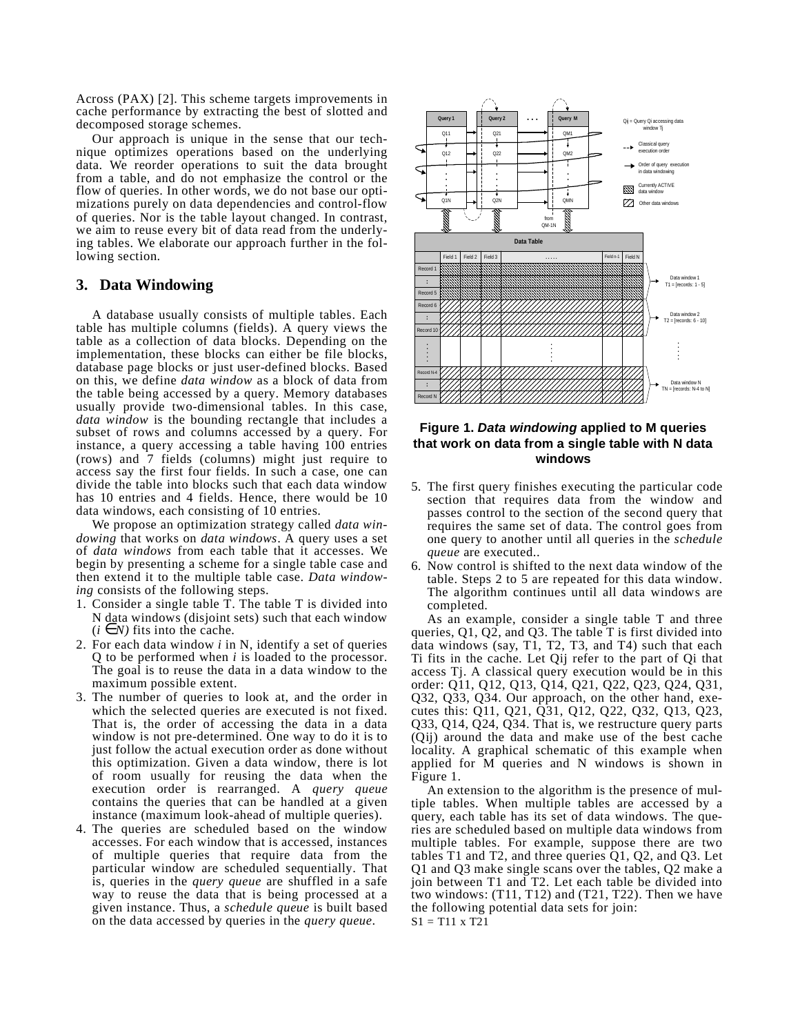Across (PAX) [\[2\]](#page-5-6). This scheme targets improvements in cache performance by extracting the best of slotted and decomposed storage schemes.

Our approach is unique in the sense that our technique optimizes operations based on the underlying data. We reorder operations to suit the data brought from a table, and do not emphasize the control or the flow of queries. In other words, we do not base our optimizations purely on data dependencies and control-flow of queries. Nor is the table layout changed. In contrast, we aim to reuse every bit of data read from the underlying tables. We elaborate our approach further in the following section.

## <span id="page-1-0"></span>**3. Data Windowing**

A database usually consists of multiple tables. Each table has multiple columns (fields). A query views the table as a collection of data blocks. Depending on the implementation, these blocks can either be file blocks, database page blocks or just user-defined blocks. Based on this, we define *data window* as a block of data from the table being accessed by a query. Memory databases usually provide two-dimensional tables. In this case, *data window* is the bounding rectangle that includes a subset of rows and columns accessed by a query. For instance, a query accessing a table having 100 entries (rows) and 7 fields (columns) might just require to access say the first four fields. In such a case, one can divide the table into blocks such that each data window has 10 entries and 4 fields. Hence, there would be 10 data windows, each consisting of 10 entries.

We propose an optimization strategy called *data windowing* that works on *data windows*. A query uses a set of *data windows* from each table that it accesses. We begin by presenting a scheme for a single table case and then extend it to the multiple table case. *Data windowing* consists of the following steps.

- 1. Consider a single table T. The table T is divided into N data windows (disjoint sets) such that each window  $(i \in N)$  fits into the cache.
- 2. For each data window *i* in N, identify a set of queries Q to be performed when *i* is loaded to the processor. The goal is to reuse the data in a data window to the maximum possible extent.
- 3. The number of queries to look at, and the order in which the selected queries are executed is not fixed. That is, the order of accessing the data in a data window is not pre-determined. One way to do it is to just follow the actual execution order as done without this optimization. Given a data window, there is lot of room usually for reusing the data when the execution order is rearranged. A *query queue* contains the queries that can be handled at a given instance (maximum look-ahead of multiple queries).
- 4. The queries are scheduled based on the window accesses. For each window that is accessed, instances of multiple queries that require data from the particular window are scheduled sequentially. That is, queries in the *query queue* are shuffled in a safe way to reuse the data that is being processed at a given instance. Thus, a *schedule queue* is built based on the data accessed by queries in the *query queue*.



# <span id="page-1-1"></span>**Figure 1. Data windowing applied to M queries that work on data from a single table with N data windows**

- 5. The first query finishes executing the particular code section that requires data from the window and passes control to the section of the second query that requires the same set of data. The control goes from one query to another until all queries in the *schedule queue* are executed..
- 6. Now control is shifted to the next data window of the table. Steps 2 to 5 are repeated for this data window. The algorithm continues until all data windows are completed.

As an example, consider a single table T and three queries, Q1, Q2, and Q3. The table T is first divided into data windows (say, T1, T2, T3, and T4) such that each Ti fits in the cache. Let Qij refer to the part of Qi that access Tj. A classical query execution would be in this order: Q11, Q12, Q13, Q14, Q21, Q22, Q23, Q24, Q31, Q32, Q33, Q34. Our approach, on the other hand, executes this: Q11, Q21, Q31, Q12, Q22, Q32, Q13, Q23, Q33, Q14, Q24, Q34. That is, we restructure query parts (Qij) around the data and make use of the best cache locality. A graphical schematic of this example when applied for M queries and N windows is shown in [Figure 1](#page-1-1).

An extension to the algorithm is the presence of multiple tables. When multiple tables are accessed by a query, each table has its set of data windows. The queries are scheduled based on multiple data windows from multiple tables. For example, suppose there are two tables T1 and T2, and three queries  $Q1$ ,  $Q2$ , and  $Q3$ . Let Q1 and Q3 make single scans over the tables, Q2 make a join between T1 and T2. Let each table be divided into two windows: (T11, T12) and (T21, T22). Then we have the following potential data sets for join: S1 = T11 x T21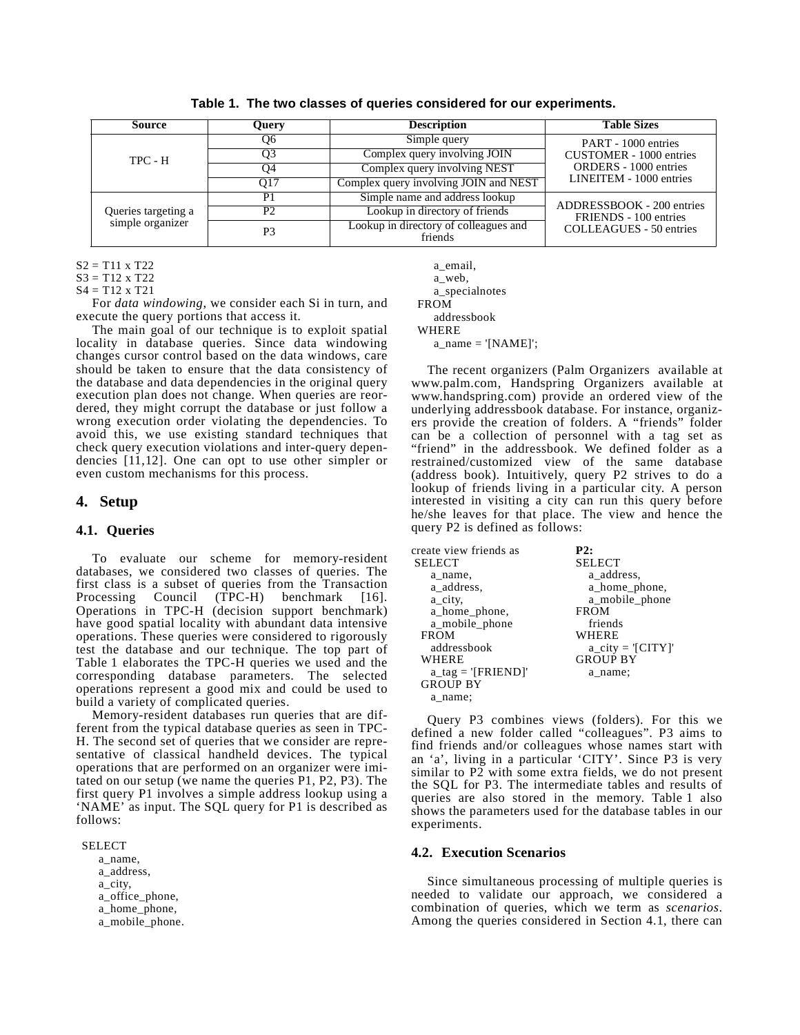| Source                                  | Query           | <b>Description</b>                               | <b>Table Sizes</b>                                      |  |
|-----------------------------------------|-----------------|--------------------------------------------------|---------------------------------------------------------|--|
|                                         | O6              | Simple query                                     | PART - 1000 entries                                     |  |
| TPC - H                                 | O3              | Complex query involving JOIN                     | CUSTOMER - 1000 entries                                 |  |
|                                         | O4              | Complex query involving NEST                     | <b>ORDERS</b> - 1000 entries<br>LINEITEM - 1000 entries |  |
|                                         | O <sub>17</sub> | Complex query involving JOIN and NEST            |                                                         |  |
|                                         | P1              | Simple name and address lookup                   |                                                         |  |
| Queries targeting a<br>simple organizer | P2              | Lookup in directory of friends                   | ADDRESSBOOK - 200 entries<br>FRIENDS - 100 entries      |  |
|                                         | P3              | Lookup in directory of colleagues and<br>friends | <b>COLLEAGUES</b> - 50 entries                          |  |

**Table 1. The two classes of queries considered for our experiments.**

S2 = T11 x T22

S3 = T12 x T22

S4 = T12 x T21

For *data windowing*, we consider each Si in turn, and execute the query portions that access it.

The main goal of our technique is to exploit spatial locality in database queries. Since data windowing changes cursor control based on the data windows, care should be taken to ensure that the data consistency of the database and data dependencies in the original query execution plan does not change. When queries are reordered, they might corrupt the database or just follow a wrong execution order violating the dependencies. To avoid this, we use existing standard techniques that check query execution violations and inter-query dependencies [11,[12\]](#page-5-7). One can opt to use other simpler or even custom mechanisms for this process.

## <span id="page-2-0"></span>**4. Setup**

#### **4.1. Queries**

To evaluate our scheme for memory-resident databases, we considered two classes of queries. The first class is a subset of queries from the Transaction<br>Processing Council (TPC-H) benchmark [16].  $(TPC-H)$  benchmark [16]. Operations in TPC-H (decision support benchmark) have good spatial locality with abundant data intensive operations. These queries were considered to rigorously test the database and our technique. The top part of Table 1 elaborates the TPC-H queries we used and the corresponding database parameters. The selected operations represent a good mix and could be used to build a variety of complicated queries.

Memory-resident databases run queries that are different from the typical database queries as seen in TPC-H. The second set of queries that we consider are representative of classical handheld devices. The typical operations that are performed on an organizer were imitated on our setup (we name the queries P1, P2, P3). The first query P1 involves a simple address lookup using a 'NAME' as input. The SQL query for P1 is described as follows:

#### SELECT

 a\_name, a\_address, a\_city, a\_office\_phone, a\_home\_phone, a\_mobile\_phone.

 a\_email, a\_web, a\_specialnotes FROM addressbook WHERE  $a$ \_name = '[NAME]';

The recent organizers (Palm Organizers available at www.palm.com, Handspring Organizers available at www.handspring.com) provide an ordered view of the underlying addressbook database. For instance, organizers provide the creation of folders. A "friends" folder can be a collection of personnel with a tag set as "friend" in the addressbook. We defined folder as a restrained/customized view of the same database (address book). Intuitively, query P2 strives to do a lookup of friends living in a particular city. A person interested in visiting a city can run this query before he/she leaves for that place. The view and hence the query P2 is defined as follows:

| create view friends as             | P2:               |
|------------------------------------|-------------------|
| <b>SELECT</b>                      | <b>SELECT</b>     |
| a name,                            | a address,        |
| a address,                         | a_home_phone,     |
| a_city,                            | a mobile phone    |
| a_home_phone,                      | <b>FROM</b>       |
| a mobile phone                     | friends           |
| <b>FROM</b>                        | WHERE             |
| addressbook                        | $a_city = [CITY]$ |
| <b>WHERE</b>                       | <b>GROUP BY</b>   |
| $a_{\text{tag}} = \text{[FRIEND]}$ | a name:           |
| <b>GROUP BY</b>                    |                   |
| a name:                            |                   |

Query P3 combines views (folders). For this we defined a new folder called "colleagues". P3 aims to find friends and/or colleagues whose names start with an 'a', living in a particular 'CITY'. Since P3 is very similar to P2 with some extra fields, we do not present the SQL for P3. The intermediate tables and results of queries are also stored in the memory. Table 1 also shows the parameters used for the database tables in our experiments.

#### **4.2. Execution Scenarios**

Since simultaneous processing of multiple queries is needed to validate our approach, we considered a combination of queries, which we term as *scenarios*. Among the queries considered in Section 4.1, there can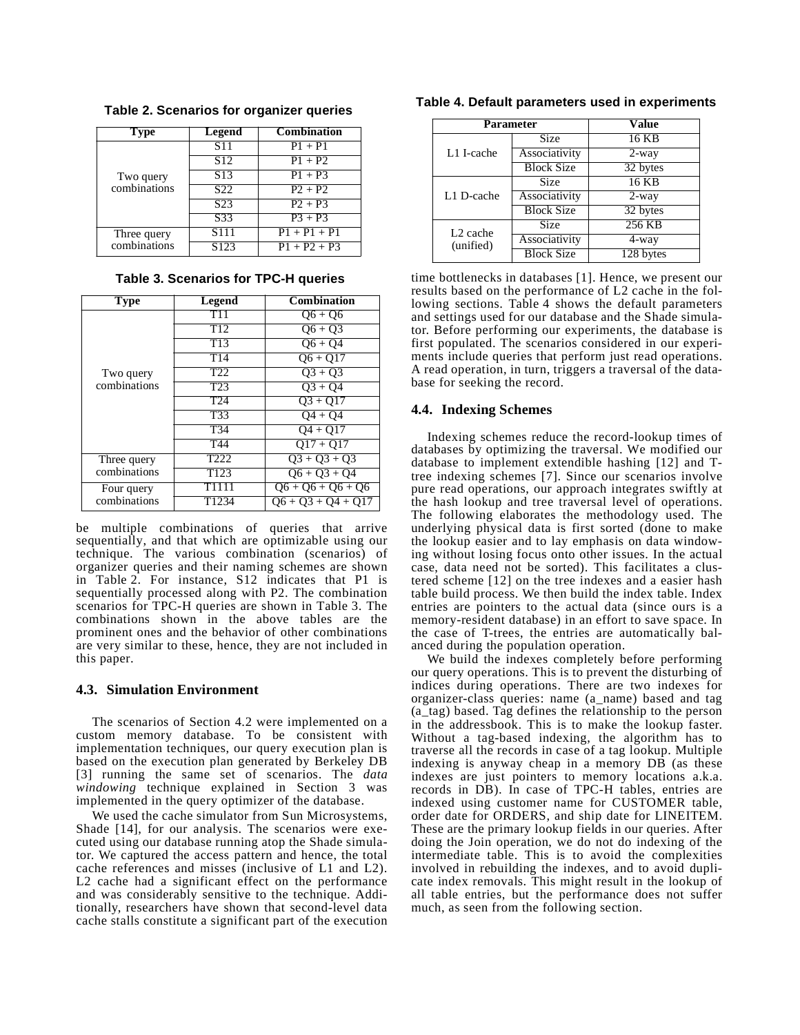| <b>Type</b>               | Legend            | <b>Combination</b> |
|---------------------------|-------------------|--------------------|
|                           | <b>S11</b>        | $P1 + P1$          |
|                           | S <sub>12</sub>   | $P1 + P2$          |
| Two query<br>combinations | S <sub>13</sub>   | $P1 + P3$          |
|                           | S <sub>22</sub>   | $P2 + P2$          |
|                           | S <sub>23</sub>   | $P2 + P3$          |
|                           | S <sub>33</sub>   | $P3 + P3$          |
| Three query               | S <sub>111</sub>  | $P1 + P1 + P1$     |
| combinations              | $S12\overline{3}$ | $P1 + P2 + P3$     |

<span id="page-3-0"></span>**Table 2. Scenarios for organizer queries**

|  | Table 3. Scenarios for TPC-H queries |  |  |
|--|--------------------------------------|--|--|
|--|--------------------------------------|--|--|

| <b>Type</b>                 | Legend           | <b>Combination</b>   |
|-----------------------------|------------------|----------------------|
|                             | T <sub>11</sub>  | $Q6 + Q6$            |
|                             | $\overline{T12}$ | $Q6 + Q3$            |
|                             | T <sub>13</sub>  | $06 + 04$            |
|                             | T14              | $Q6 + Q17$           |
| Two query                   | T <sub>22</sub>  | $Q_3 + Q_3$          |
| combinations                | T <sub>23</sub>  | $\overline{Q3} + Q4$ |
|                             | T <sub>24</sub>  | $03 + 017$           |
|                             | T <sub>33</sub>  | $\overline{O4} + O4$ |
|                             | T <sub>34</sub>  | $04 + 017$           |
|                             | T44              | $Q17 + Q17$          |
| Three query<br>combinations | T <sub>222</sub> | $Q_3 + Q_3 + Q_3$    |
|                             | T <sub>123</sub> | $06 + 03 + 04$       |
| Four query                  | T1111            | $Q6 + Q6 + Q6 + Q6$  |
| combinations                | T1234            | $Q6 + Q3 + Q4 + Q17$ |

be multiple combinations of queries that arrive sequentially, and that which are optimizable using our technique. The various combination (scenarios) of organizer queries and their naming schemes are shown in [Table 2](#page-3-0). For instance, S12 indicates that P1 is sequentially processed along with P2. The combination scenarios for TPC-H queries are shown in Table 3. The combinations shown in the above tables are the prominent ones and the behavior of other combinations are very similar to these, hence, they are not included in this paper.

#### **4.3. Simulation Environment**

The scenarios of Section 4.2 were implemented on a custom memory database. To be consistent with implementation techniques, our query execution plan is based on the execution plan generated by Berkeley DB [3] running the same set of scenarios. The *data windowing* technique explained in Section 3 was implemented in the query optimizer of the database.

We used the cache simulator from Sun Microsystems, Shade [14], for our analysis. The scenarios were executed using our database running atop the Shade simulator. We captured the access pattern and hence, the total cache references and misses (inclusive of L1 and L2). L<sub>2</sub> cache had a significant effect on the performance and was considerably sensitive to the technique. Additionally, researchers have shown that second-level data cache stalls constitute a significant part of the execution

| Parameter                         |                   | <b>Value</b> |
|-----------------------------------|-------------------|--------------|
| L1 I-cache                        | Size              | 16 KB        |
|                                   | Associativity     | $2$ -way     |
|                                   | <b>Block Size</b> | 32 bytes     |
| L1 D-cache                        | Size              | 16 KB        |
|                                   | Associativity     | $2$ -way     |
|                                   | <b>Block Size</b> | 32 bytes     |
| L <sub>2</sub> cache<br>(unified) | Size              | 256 KB       |
|                                   | Associativity     | 4-way        |
|                                   | <b>Block Size</b> | 128 bytes    |

**Table 4. Default parameters used in experiments**

time bottlenecks in databases [\[1\].](#page-5-5) Hence, we present our results based on the performance of L2 cache in the following sections. Table 4 shows the default parameters and settings used for our database and the Shade simulator. Before performing our experiments, the database is first populated. The scenarios considered in our experiments include queries that perform just read operations. A read operation, in turn, triggers a traversal of the database for seeking the record.

#### **4.4. Indexing Schemes**

Indexing schemes reduce the record-lookup times of databases by optimizing the traversal. We modified our database to implement extendible hashing [\[12\]](#page-5-7) and Ttree indexing schemes [\[7\].](#page-5-8) Since our scenarios involve pure read operations, our approach integrates swiftly at the hash lookup and tree traversal level of operations. The following elaborates the methodology used. The underlying physical data is first sorted (done to make the lookup easier and to lay emphasis on data windowing without losing focus onto other issues. In the actual case, data need not be sorted). This facilitates a clustered scheme [\[12\]](#page-5-7) on the tree indexes and a easier hash table build process. We then build the index table. Index entries are pointers to the actual data (since ours is a memory-resident database) in an effort to save space. In the case of T-trees, the entries are automatically balanced during the population operation.

We build the indexes completely before performing our query operations. This is to prevent the disturbing of indices during operations. There are two indexes for organizer-class queries: name (a\_name) based and tag (a\_tag) based. Tag defines the relationship to the person in the addressbook. This is to make the lookup faster. Without a tag-based indexing, the algorithm has to traverse all the records in case of a tag lookup. Multiple indexing is anyway cheap in a memory DB (as these indexes are just pointers to memory locations a.k.a. records in DB). In case of TPC-H tables, entries are indexed using customer name for CUSTOMER table, order date for ORDERS, and ship date for LINEITEM. These are the primary lookup fields in our queries. After doing the Join operation, we do not do indexing of the intermediate table. This is to avoid the complexities involved in rebuilding the indexes, and to avoid duplicate index removals. This might result in the lookup of all table entries, but the performance does not suffer much, as seen from the following section.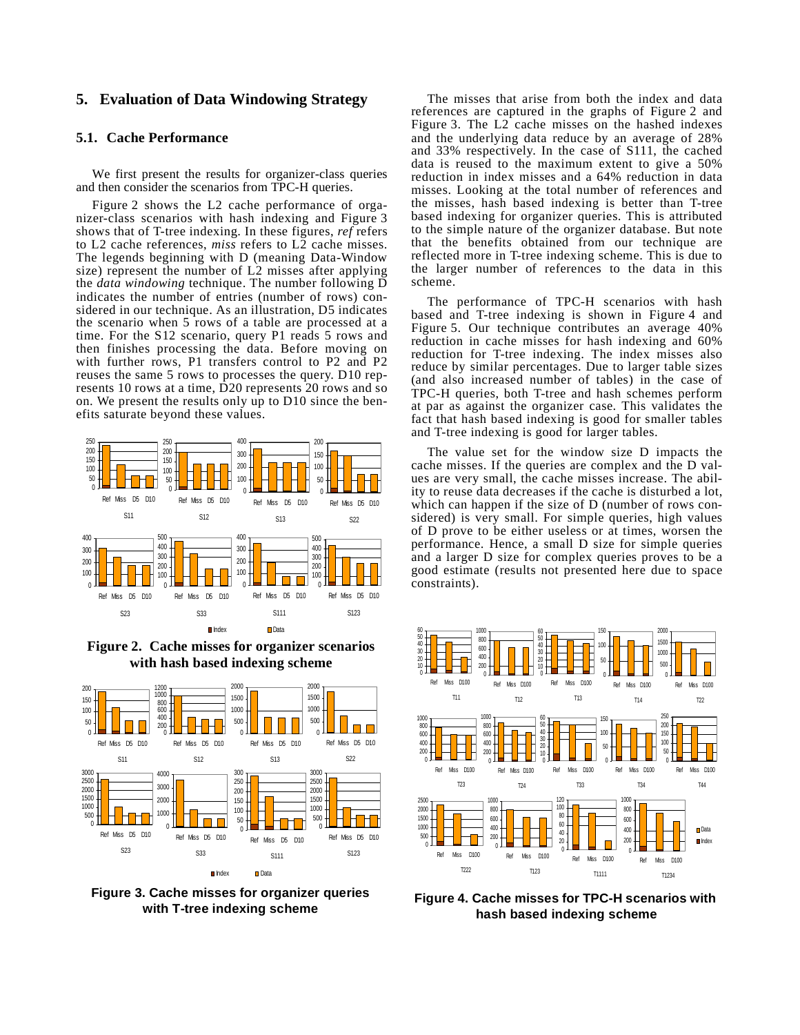# <span id="page-4-0"></span>**5. Evaluation of Data Windowing Strategy**

### **5.1. Cache Performance**

We first present the results for organizer-class queries and then consider the scenarios from TPC-H queries.

Figure 2 shows the L2 cache performance of organizer-class scenarios with hash indexing and Figure 3 shows that of T-tree indexing. In these figures, *ref* refers to L2 cache references, *miss* refers to L2 cache misses. The legends beginning with D (meaning Data-Window size) represent the number of L2 misses after applying the *data windowing* technique. The number following D indicates the number of entries (number of rows) considered in our technique. As an illustration, D5 indicates the scenario when 5 rows of a table are processed at a time. For the S12 scenario, query P1 reads 5 rows and then finishes processing the data. Before moving on with further rows, P1 transfers control to P2 and P2 reuses the same 5 rows to processes the query. D10 represents 10 rows at a time, D20 represents 20 rows and so on. We present the results only up to D10 since the benefits saturate beyond these values.



**Figure 2. Cache misses for organizer scenarios with hash based indexing scheme**



**Figure 3. Cache misses for organizer queries with T-tree indexing scheme**

The misses that arise from both the index and data references are captured in the graphs of Figure 2 and Figure 3. The L2 cache misses on the hashed indexes and the underlying data reduce by an average of 28% and 33% respectively. In the case of S111, the cached data is reused to the maximum extent to give a 50% reduction in index misses and a 64% reduction in data misses. Looking at the total number of references and the misses, hash based indexing is better than T-tree based indexing for organizer queries. This is attributed to the simple nature of the organizer database. But note that the benefits obtained from our technique are reflected more in T-tree indexing scheme. This is due to the larger number of references to the data in this scheme.

The performance of TPC-H scenarios with hash based and T-tree indexing is shown in Figure 4 and Figure 5. Our technique contributes an average 40% reduction in cache misses for hash indexing and 60% reduction for T-tree indexing. The index misses also reduce by similar percentages. Due to larger table sizes (and also increased number of tables) in the case of TPC-H queries, both T-tree and hash schemes perform at par as against the organizer case. This validates the fact that hash based indexing is good for smaller tables and T-tree indexing is good for larger tables.

The value set for the window size D impacts the cache misses. If the queries are complex and the D values are very small, the cache misses increase. The ability to reuse data decreases if the cache is disturbed a lot, which can happen if the size of D (number of rows considered) is very small. For simple queries, high values of D prove to be either useless or at times, worsen the performance. Hence, a small D size for simple queries and a larger D size for complex queries proves to be a good estimate (results not presented here due to space constraints).



**Figure 4. Cache misses for TPC-H scenarios with hash based indexing scheme**